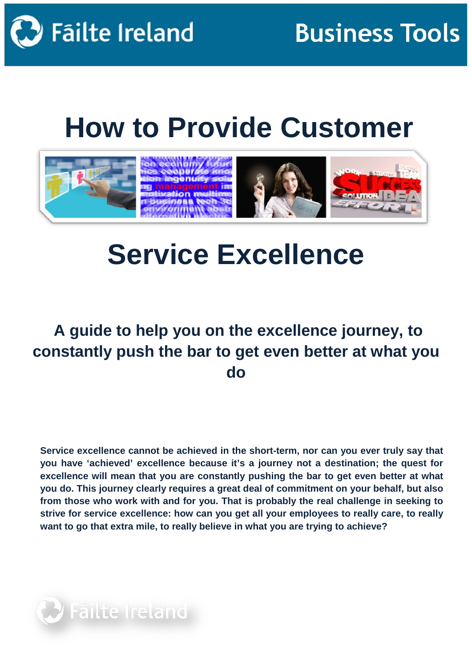

# **How to Provide Customer**



## **Service Excellence**

## **A guide to help you on the excellence journey, to constantly push the bar to get even better at what you do**

**Service excellence cannot be achieved in the short-term, nor can you ever truly say that you have 'achieved' excellence because it's a journey not a destination; the quest for excellence will mean that you are constantly pushing the bar to get even better at what you do. This journey clearly requires a great deal of commitment on your behalf, but also from those who work with and for you. That is probably the real challenge in seeking to strive for service excellence: how can you get all your employees to really care, to really want to go that extra mile, to really believe in what you are trying to achieve?**

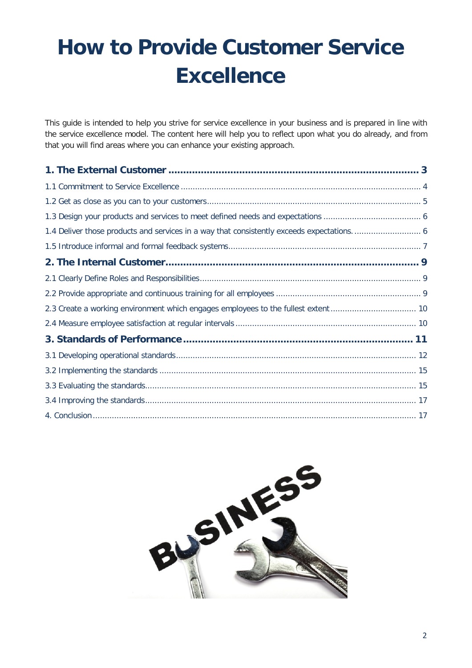## **How to Provide Customer Service Excellence**

This guide is intended to help you strive for service excellence in your business and is prepared in line with the service excellence model. The content here will help you to reflect upon what you do already, and from that you will find areas where you can enhance your existing approach.

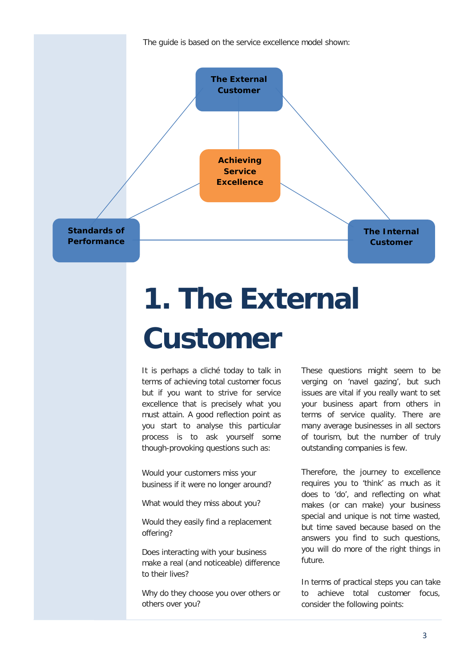The guide is based on the service excellence model shown:



# **1. The External Customer**

It is perhaps a cliché today to talk in terms of achieving total customer focus but if you want to strive for service excellence that is precisely what you must attain. A good reflection point as you start to analyse this particular process is to ask yourself some though-provoking questions such as:

Would your customers miss your business if it were no longer around?

What would they miss about you?

Would they easily find a replacement offering?

Does interacting with your business make a real (and noticeable) difference to their lives?

Why do they choose you over others or others over you?

These questions might seem to be verging on 'navel gazing', but such issues are vital if you really want to set your business apart from others in terms of service quality. There are many average businesses in all sectors of tourism, but the number of truly outstanding companies is few.

Therefore, the journey to excellence requires you to 'think' as much as it does to 'do', and reflecting on what makes (or can make) your business special and unique is not time wasted, but time saved because based on the answers you find to such questions, you will do more of the right things in future.

In terms of practical steps you can take to achieve total customer focus, consider the following points: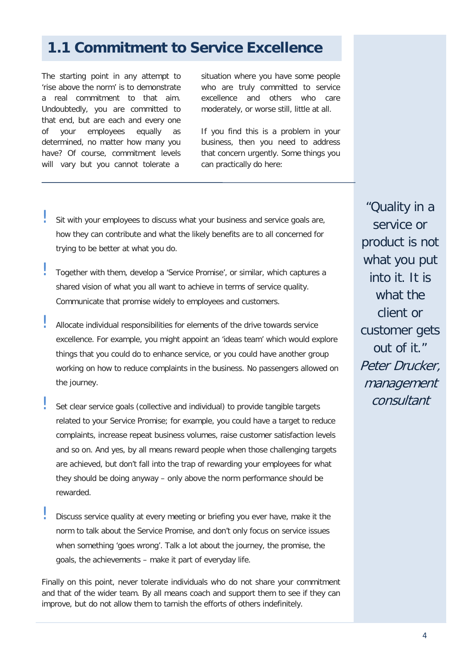#### **1.1 Commitment to Service Excellence**

The starting point in any attempt to 'rise above the norm' is to demonstrate a real commitment to that aim. Undoubtedly, you are committed to that end, but are each and every one of your employees equally as determined, no matter how many you have? Of course, commitment levels will vary but you cannot tolerate a

situation where you have some people who are truly committed to service excellence and others who care moderately, or worse still, little at all.

If you find this is a problem in your business, then you need to address that concern urgently. Some things you can practically do here:

- Sit with your employees to discuss what your business and service goals are, how they can contribute and what the likely benefits are to all concerned for trying to be better at what you do.
- ! Together with them, develop a 'Service Promise', or similar, which captures a shared vision of what you all want to achieve in terms of service quality. Communicate that promise widely to employees and customers.
- Allocate individual responsibilities for elements of the drive towards service excellence. For example, you might appoint an 'ideas team' which would explore things that you could do to enhance service, or you could have another group working on how to reduce complaints in the business. No passengers allowed on the journey.
	- Set clear service goals (collective and individual) to provide tangible targets related to your Service Promise; for example, you could have a target to reduce complaints, increase repeat business volumes, raise customer satisfaction levels and so on. And yes, by all means reward people when those challenging targets are achieved, but don't fall into the trap of rewarding your employees for what they should be doing anyway – only above the norm performance should be rewarded.
- Discuss service quality at every meeting or briefing you ever have, make it the norm to talk about the Service Promise, and don't only focus on service issues when something 'goes wrong'. Talk a lot about the journey, the promise, the goals, the achievements – make it part of everyday life.

Finally on this point, never tolerate individuals who do not share your commitment and that of the wider team. By all means coach and support them to see if they can improve, but do not allow them to tarnish the efforts of others indefinitely.

"Quality in a service or product is not what you put into it. It is what the client or customer gets out of it." Peter Drucker, management consultant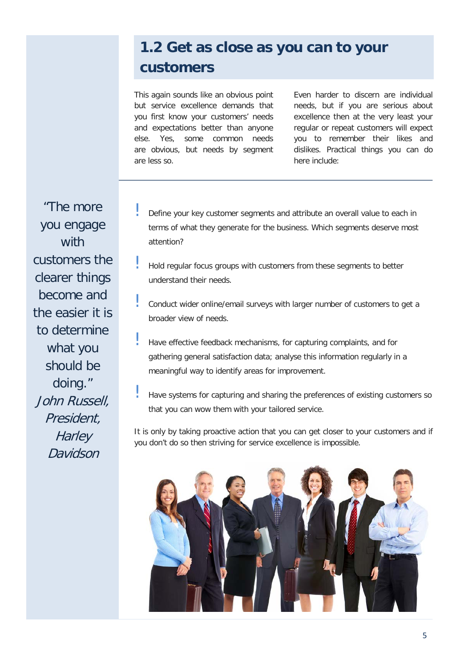## **1.2 Get as close as you can to your customers**

This again sounds like an obvious point but service excellence demands that you first know your customers' needs and expectations better than anyone else. Yes, some common needs are obvious, but needs by segment are less so.

Even harder to discern are individual needs, but if you are serious about excellence then at the very least your regular or repeat customers will expect you to remember their likes and dislikes. Practical things you can do here include:

"The more you engage with customers the clearer things become and the easier it is to determine what you should be doing." John Russell, President, **Harley** Davidson

- Define your key customer segments and attribute an overall value to each in terms of what they generate for the business. Which segments deserve most attention?
- ! Hold regular focus groups with customers from these segments to better understand their needs.
- Conduct wider online/email surveys with larger number of customers to get a broader view of needs.
- ! Have effective feedback mechanisms, for capturing complaints, and for gathering general satisfaction data; analyse this information regularly in a meaningful way to identify areas for improvement.
- ! Have systems for capturing and sharing the preferences of existing customers so that you can wow them with your tailored service.

It is only by taking proactive action that you can get closer to your customers and if you don't do so then striving for service excellence is impossible.

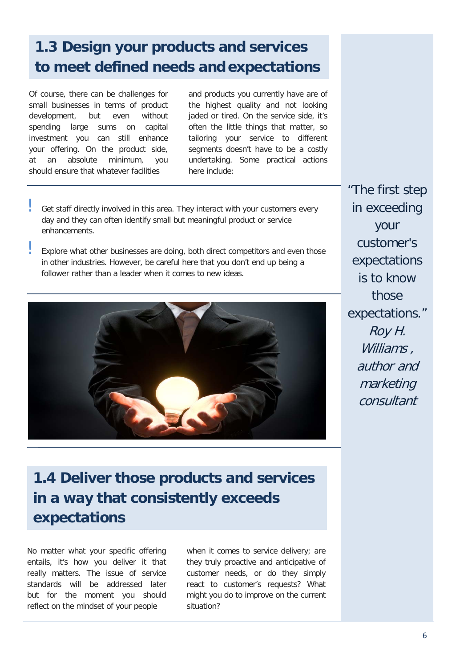## **1.3 Design your products and services to meet defined needs and expectations**

Of course, there can be challenges for small businesses in terms of product development, but even without spending large sums on capital investment you can still enhance your offering. On the product side, at an absolute minimum, you should ensure that whatever facilities

and products you currently have are of the highest quality and not looking jaded or tired. On the service side, it's often the little things that matter, so tailoring your service to different segments doesn't have to be a costly undertaking. Some practical actions here include:

- Get staff directly involved in this area. They interact with your customers every day and they can often identify small but meaningful product or service enhancements.
- Explore what other businesses are doing, both direct competitors and even those in other industries. However, be careful here that you don't end up being a follower rather than a leader when it comes to new ideas.



"The first step in exceeding your customer's expectations is to know those expectations." Roy H. Williams, author and marketing consultant

### **1.4 Deliver those products and services in a way that consistently exceeds expectations**

No matter what your specific offering entails, it's how you deliver it that really matters. The issue of service standards will be addressed later but for the moment you should reflect on the mindset of your people

when it comes to service delivery; are they truly proactive and anticipative of customer needs, or do they simply react to customer's requests? What might you do to improve on the current situation?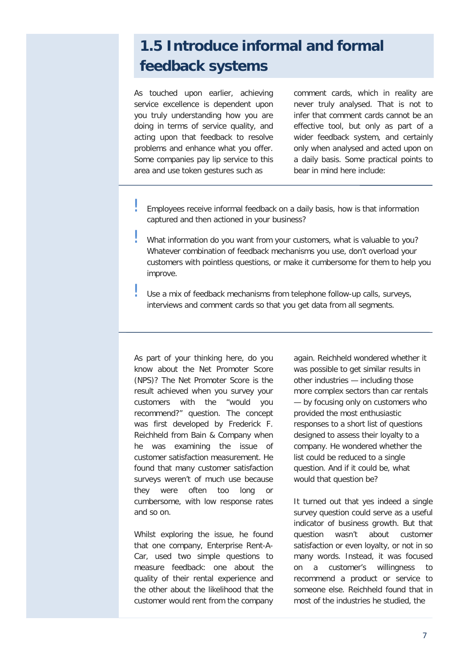### **1.5 Introduce informal and formal feedback systems**

As touched upon earlier, achieving service excellence is dependent upon you truly understanding how you are doing in terms of service quality, and acting upon that feedback to resolve problems and enhance what you offer. Some companies pay lip service to this area and use token gestures such as

comment cards, which in reality are never truly analysed. That is not to infer that comment cards cannot be an effective tool, but only as part of a wider feedback system, and certainly only when analysed and acted upon on a daily basis. Some practical points to bear in mind here include:

- ! Employees receive informal feedback on a daily basis, how is that information captured and then actioned in your business?
- ! What information do you want from your customers, what is valuable to you? Whatever combination of feedback mechanisms you use, don't overload your customers with pointless questions, or make it cumbersome for them to help you improve.
- Use a mix of feedback mechanisms from telephone follow-up calls, surveys, interviews and comment cards so that you get data from all segments.

As part of your thinking here, do you know about the Net Promoter Score (NPS)? The Net Promoter Score is the result achieved when you survey your customers with the "would you recommend?" question. The concept was first developed by Frederick F. Reichheld from Bain & Company when he was examining the issue of customer satisfaction measurement. He found that many customer satisfaction surveys weren't of much use because they were often too long or cumbersome, with low response rates and so on.

Whilst exploring the issue, he found that one company, Enterprise Rent-A-Car, used two simple questions to measure feedback: one about the quality of their rental experience and the other about the likelihood that the customer would rent from the company

again. Reichheld wondered whether it was possible to get similar results in other industries — including those more complex sectors than car rentals — by focusing only on customers who provided the most enthusiastic responses to a short list of questions designed to assess their loyalty to a company. He wondered whether the list could be reduced to a single question. And if it could be, what would that question be?

It turned out that yes indeed a single survey question could serve as a useful indicator of business growth. But that question wasn't about customer satisfaction or even loyalty, or not in so many words. Instead, it was focused on a customer's willingness to recommend a product or service to someone else. Reichheld found that in most of the industries he studied, the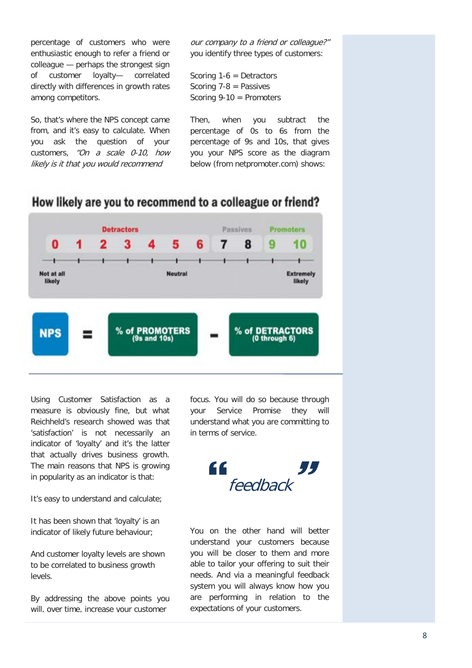percentage of customers who were enthusiastic enough to refer a friend or colleague — perhaps the strongest sign of customer loyalty— correlated directly with differences in growth rates among competitors.

So, that's where the NPS concept came from, and it's easy to calculate. When you ask the question of your customers, "On a scale 0-10, how likely is it that you would recommend

our company to a friend or colleague?" you identify three types of customers:

Scoring 1-6 = Detractors Scoring 7-8 = Passives Scoring 9-10 = Promoters

Then, when you subtract the percentage of 0s to 6s from the percentage of 9s and 10s, that gives you your NPS score as the diagram below (from netpromoter.com) shows:



#### How likely are you to recommend to a colleague or friend?

Using Customer Satisfaction as a measure is obviously fine, but what Reichheld's research showed was that 'satisfaction' is not necessarily an indicator of 'loyalty' and it's the latter that actually drives business growth. The main reasons that NPS is growing in popularity as an indicator is that:

It's easy to understand and calculate;

It has been shown that 'loyalty' is an indicator of likely future behaviour;

And customer loyalty levels are shown to be correlated to business growth levels.

By addressing the above points you will, over time, increase your customer

focus. You will do so because through your Service Promise they will understand what you are committing to in terms of service.



You on the other hand will better understand your customers because you will be closer to them and more able to tailor your offering to suit their needs. And via a meaningful feedback system you will always know how you are performing in relation to the expectations of your customers.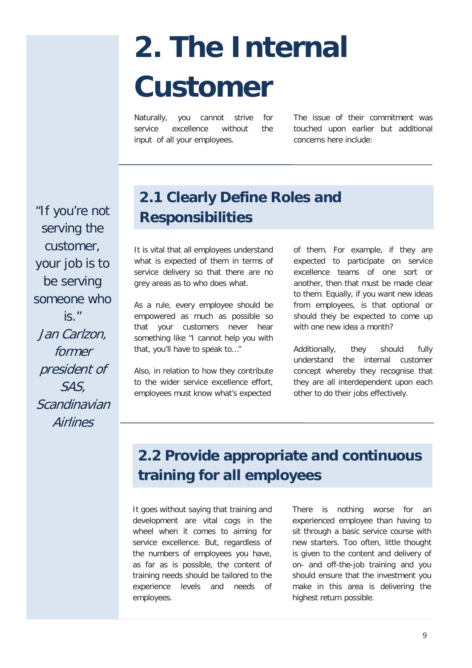# **2. The Internal Customer**

Naturally, you cannot strive for service excellence without the input of all your employees.

The issue of their commitment was touched upon earlier but additional concerns here include:

"If you're not serving the customer, your job is to be serving someone who is." Jan Carlzon, former president of SAS, **Scandinavian Airlines** 

## **2.1 Clearly Define Roles and Responsibilities**

It is vital that all employees understand what is expected of them in terms of service delivery so that there are no grey areas as to who does what.

As a rule, every employee should be empowered as much as possible so that your customers never hear something like "I cannot help you with that, you'll have to speak to…"

Also, in relation to how they contribute to the wider service excellence effort, employees must know what's expected

of them. For example, if they are expected to participate on service excellence teams of one sort or another, then that must be made clear to them. Equally, if you want new ideas from employees, is that optional or should they be expected to come up with one new idea a month?

Additionally, they should fully understand the internal customer concept whereby they recognise that they are all interdependent upon each other to do their jobs effectively.

## **2.2 Provide appropriate and continuous training for all employees**

It goes without saying that training and development are vital cogs in the wheel when it comes to aiming for service excellence. But, regardless of the numbers of employees you have, as far as is possible, the content of training needs should be tailored to the experience levels and needs of employees.

There is nothing worse for an experienced employee than having to sit through a basic service course with new starters. Too often, little thought is given to the content and delivery of on- and off-the-job training and you should ensure that the investment you make in this area is delivering the highest return possible.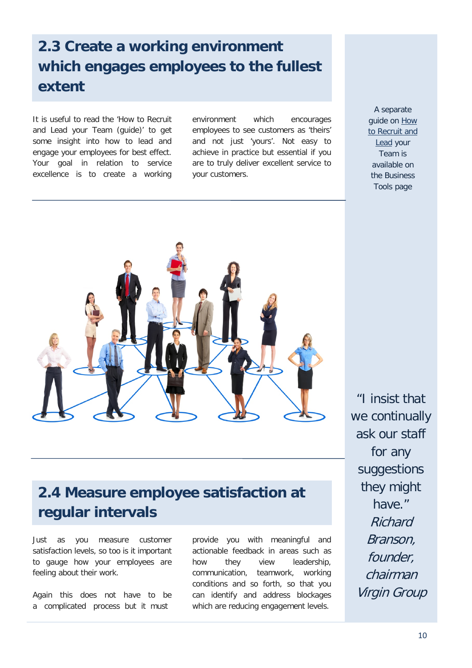## **2.3 Create a working environment which engages employees to the fullest extent**

It is useful to read the 'How to Recruit and Lead your Team (guide)' to get some insight into how to lead and engage your employees for best effect. Your goal in relation to service excellence is to create a working environment which encourages employees to see customers as 'theirs' and not just 'yours'. Not easy to achieve in practice but essential if you are to truly deliver excellent service to your customers.

A separate guide on [How](http://www.failteireland.ie/FailteIreland/media/WebsiteStructure/Documents/2_Develop_Your_Business/1_StartGrow_Your_Business/How_to_Recruit_and_Lead_your_Team.pdf)  [to Recruit and](http://www.failteireland.ie/FailteIreland/media/WebsiteStructure/Documents/2_Develop_Your_Business/1_StartGrow_Your_Business/How_to_Recruit_and_Lead_your_Team.pdf)  [Lead](http://www.failteireland.ie/FailteIreland/media/WebsiteStructure/Documents/2_Develop_Your_Business/1_StartGrow_Your_Business/How_to_Recruit_and_Lead_your_Team.pdf) your Team is available on the Business Tools page



#### **2.4 Measure employee satisfaction at regular intervals**

Just as you measure customer satisfaction levels, so too is it important to gauge how your employees are feeling about their work.

Again this does not have to be a complicated process but it must

provide you with meaningful and actionable feedback in areas such as how they view leadership, communication, teamwork, working conditions and so forth, so that you can identify and address blockages which are reducing engagement levels.

"I insist that we continually ask our staff for any suggestions they might have." Richard Branson, founder, chairman Virgin Group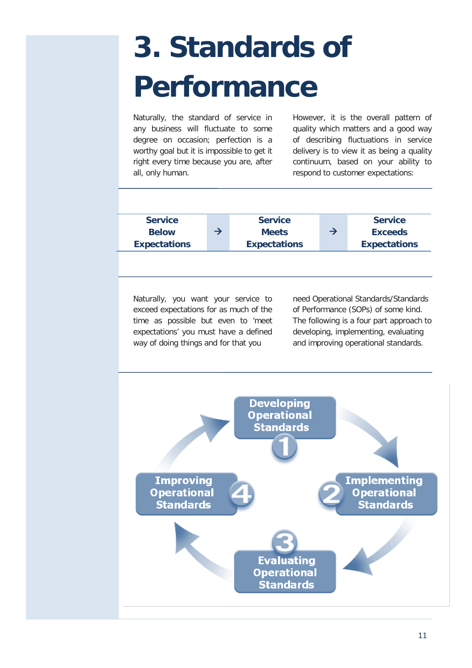# **3. Standards of Performance**

Naturally, the standard of service in any business will fluctuate to some degree on occasion; perfection is a worthy goal but it is impossible to get it right every time because you are, after all, only human.

However, it is the overall pattern of quality which matters and a good way of describing fluctuations in service delivery is to view it as being a quality continuum, based on your ability to respond to customer expectations:



Naturally, you want your service to exceed expectations for as much of the time as possible but even to 'meet expectations' you must have a defined way of doing things and for that you

need Operational Standards/Standards of Performance (SOPs) of some kind. The following is a four part approach to developing, implementing, evaluating and improving operational standards.

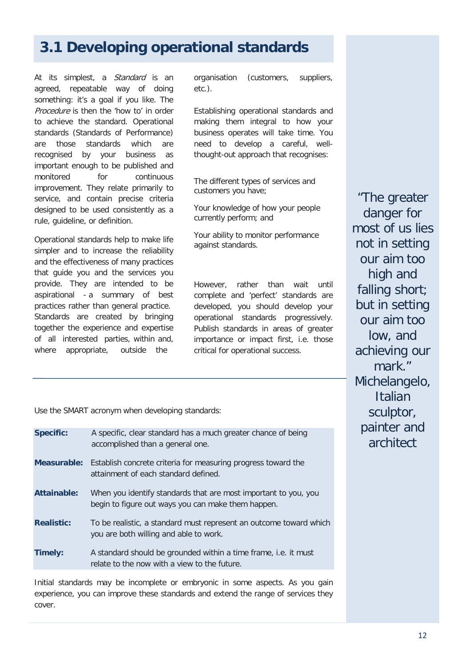#### **3.1 Developing operational standards**

At its simplest, a *Standard* is an agreed, repeatable way of doing something: it's a goal if you like. The Procedure is then the 'how to' in order to achieve the standard. Operational standards (Standards of Performance) are those standards which are recognised by your business as important enough to be published and monitored for continuous improvement. They relate primarily to service, and contain precise criteria designed to be used consistently as a rule, guideline, or definition.

Operational standards help to make life simpler and to increase the reliability and the effectiveness of many practices that guide you and the services you provide. They are intended to be aspirational - a summary of best practices rather than general practice. Standards are created by bringing together the experience and expertise of all interested parties, within and, where appropriate, outside the

organisation (customers, suppliers, etc.).

Establishing operational standards and making them integral to how your business operates will take time. You need to develop a careful, wellthought-out approach that recognises:

The different types of services and customers you have;

Your knowledge of how your people currently perform; and

Your ability to monitor performance against standards.

However, rather than wait until complete and 'perfect' standards are developed, you should develop your operational standards progressively. Publish standards in areas of greater importance or impact first, i.e. those critical for operational success.

Use the SMART acronym when developing standards:

| <b>Specific:</b>   | A specific, clear standard has a much greater chance of being<br>accomplished than a general one.                        |
|--------------------|--------------------------------------------------------------------------------------------------------------------------|
|                    | <b>Measurable:</b> Establish concrete criteria for measuring progress toward the<br>attainment of each standard defined. |
| <b>Attainable:</b> | When you identify standards that are most important to you, you<br>begin to figure out ways you can make them happen.    |
| <b>Realistic:</b>  | To be realistic, a standard must represent an outcome toward which<br>you are both willing and able to work.             |
| Timely:            | A standard should be grounded within a time frame, i.e. it must<br>relate to the now with a view to the future.          |

Initial standards may be incomplete or embryonic in some aspects. As you gain experience, you can improve these standards and extend the range of services they cover.

"The greater danger for most of us lies not in setting our aim too high and falling short; but in setting our aim too low, and achieving our mark." Michelangelo, Italian sculptor, painter and architect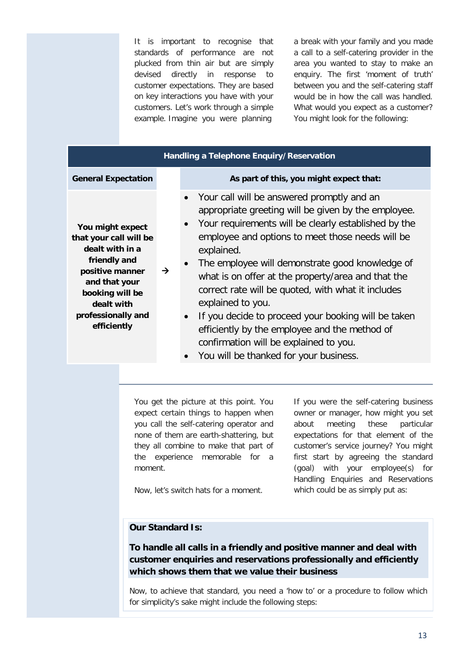It is important to recognise that standards of performance are not plucked from thin air but are simply devised directly in response to customer expectations. They are based on key interactions you have with your customers. Let's work through a simple example. Imagine you were planning

a break with your family and you made a call to a self-catering provider in the area you wanted to stay to make an enquiry. The first 'moment of truth' between you and the self-catering staff would be in how the call was handled. What would you expect as a customer? You might look for the following:

| Handling a Telephone Enquiry/Reservation                                                                                                                                                |   |                                                                                                                                                                                                                                                                                                                                                                                                                                                                                                                                                                                                                                                                              |  |  |  |  |  |  |
|-----------------------------------------------------------------------------------------------------------------------------------------------------------------------------------------|---|------------------------------------------------------------------------------------------------------------------------------------------------------------------------------------------------------------------------------------------------------------------------------------------------------------------------------------------------------------------------------------------------------------------------------------------------------------------------------------------------------------------------------------------------------------------------------------------------------------------------------------------------------------------------------|--|--|--|--|--|--|
| <b>General Expectation</b>                                                                                                                                                              |   | As part of this, you might expect that:                                                                                                                                                                                                                                                                                                                                                                                                                                                                                                                                                                                                                                      |  |  |  |  |  |  |
| You might expect<br>that your call will be<br>dealt with in a<br>friendly and<br>positive manner<br>and that your<br>booking will be<br>dealt with<br>professionally and<br>efficiently | → | Your call will be answered promptly and an<br>$\bullet$<br>appropriate greeting will be given by the employee.<br>Your requirements will be clearly established by the<br>$\bullet$<br>employee and options to meet those needs will be<br>explained.<br>The employee will demonstrate good knowledge of<br>$\bullet$<br>what is on offer at the property/area and that the<br>correct rate will be quoted, with what it includes<br>explained to you.<br>If you decide to proceed your booking will be taken<br>$\bullet$<br>efficiently by the employee and the method of<br>confirmation will be explained to you.<br>You will be thanked for your business.<br>$\bullet$ |  |  |  |  |  |  |

You get the picture at this point. You expect certain things to happen when you call the self-catering operator and none of them are earth-shattering, but they all combine to make that part of the experience memorable for a moment.

If you were the self-catering business owner or manager, how might you set about meeting these particular expectations for that element of the customer's service journey? You might first start by agreeing the standard (goal) with your employee(s) for Handling Enquiries and Reservations which could be as simply put as:

Now, let's switch hats for a moment.

#### **Our Standard Is:**

**To handle all calls in a friendly and positive manner and deal with customer enquiries and reservations professionally and efficiently which shows them that we value their business**

Now, to achieve that standard, you need a 'how to' or a procedure to follow which for simplicity's sake might include the following steps: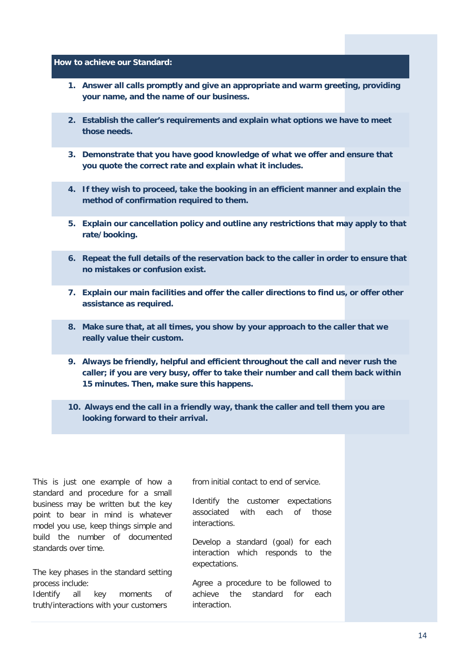**How to achieve our Standard:**

- **1. Answer all calls promptly and give an appropriate and warm greeting, providing your name, and the name of our business.**
- **2. Establish the caller's requirements and explain what options we have to meet those needs.**
- **3. Demonstrate that you have good knowledge of what we offer and ensure that you quote the correct rate and explain what it includes.**
- **4. If they wish to proceed, take the booking in an efficient manner and explain the method of confirmation required to them.**
- **5. Explain our cancellation policy and outline any restrictions that may apply to that rate/booking.**
- **6. Repeat the full details of the reservation back to the caller in order to ensure that no mistakes or confusion exist.**
- **7. Explain our main facilities and offer the caller directions to find us, or offer other assistance as required.**
- **8. Make sure that, at all times, you show by your approach to the caller that we really value their custom.**
- **9. Always be friendly, helpful and efficient throughout the call and never rush the caller; if you are very busy, offer to take their number and call them back within 15 minutes. Then, make sure this happens.**
- **10. Always end the call in a friendly way, thank the caller and tell them you are looking forward to their arrival.**

This is just one example of how a standard and procedure for a small business may be written but the key point to bear in mind is whatever model you use, keep things simple and build the number of documented standards over time.

The key phases in the standard setting process include:

Identify all key moments of truth/interactions with your customers

from initial contact to end of service.

Identify the customer expectations associated with each of those interactions.

Develop a standard (goal) for each interaction which responds to the expectations.

Agree a procedure to be followed to achieve the standard for each interaction.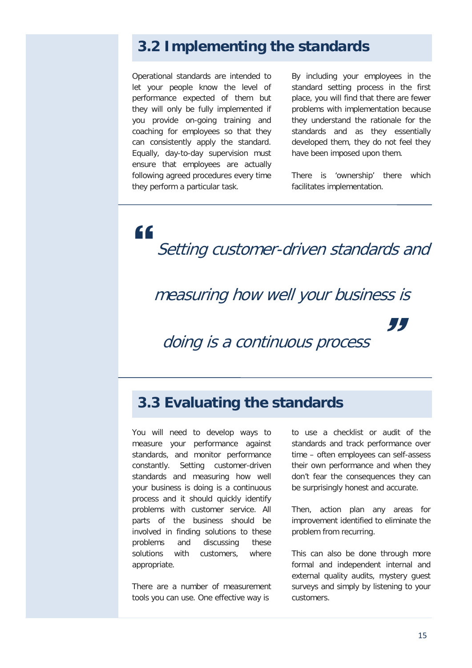#### **3.2 Implementing the standards**

Operational standards are intended to let your people know the level of performance expected of them but they will only be fully implemented if you provide on-going training and coaching for employees so that they can consistently apply the standard. Equally, day-to-day supervision must ensure that employees are actually following agreed procedures every time they perform a particular task.

By including your employees in the standard setting process in the first place, you will find that there are fewer problems with implementation because they understand the rationale for the standards and as they essentially developed them, they do not feel they have been imposed upon them.

There is 'ownership' there which facilitates implementation.

" Setting customer-driven standards and

#### measuring how well your business is

doing is a continuous process

#### **3.3 Evaluating the standards**

You will need to develop ways to measure your performance against standards, and monitor performance constantly. Setting customer-driven standards and measuring how well your business is doing is a continuous process and it should quickly identify problems with customer service. All parts of the business should be involved in finding solutions to these problems and discussing these solutions with customers, where appropriate.

There are a number of measurement tools you can use. One effective way is

to use a checklist or audit of the standards and track performance over time – often employees can self-assess their own performance and when they don't fear the consequences they can be surprisingly honest and accurate.

99

Then, action plan any areas for improvement identified to eliminate the problem from recurring.

This can also be done through more formal and independent internal and external quality audits, mystery guest surveys and simply by listening to your customers.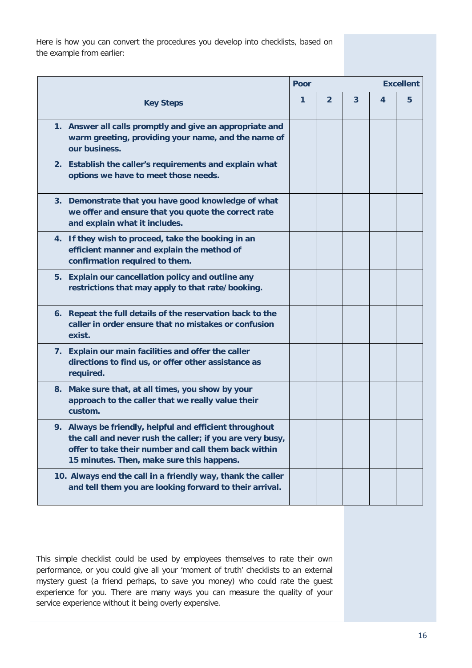Here is how you can convert the procedures you develop into checklists, based on the example from earlier:

|                                                                                                                                                                                                                           | Poor |                | <b>Excellent</b>        |   |   |
|---------------------------------------------------------------------------------------------------------------------------------------------------------------------------------------------------------------------------|------|----------------|-------------------------|---|---|
| <b>Key Steps</b>                                                                                                                                                                                                          | 1    | $\overline{2}$ | $\overline{\mathbf{3}}$ | 4 | 5 |
| 1. Answer all calls promptly and give an appropriate and<br>warm greeting, providing your name, and the name of<br>our business.                                                                                          |      |                |                         |   |   |
| 2. Establish the caller's requirements and explain what<br>options we have to meet those needs.                                                                                                                           |      |                |                         |   |   |
| 3. Demonstrate that you have good knowledge of what<br>we offer and ensure that you quote the correct rate<br>and explain what it includes.                                                                               |      |                |                         |   |   |
| 4. If they wish to proceed, take the booking in an<br>efficient manner and explain the method of<br>confirmation required to them.                                                                                        |      |                |                         |   |   |
| 5. Explain our cancellation policy and outline any<br>restrictions that may apply to that rate/booking.                                                                                                                   |      |                |                         |   |   |
| 6. Repeat the full details of the reservation back to the<br>caller in order ensure that no mistakes or confusion<br>exist.                                                                                               |      |                |                         |   |   |
| 7. Explain our main facilities and offer the caller<br>directions to find us, or offer other assistance as<br>required.                                                                                                   |      |                |                         |   |   |
| 8. Make sure that, at all times, you show by your<br>approach to the caller that we really value their<br>custom.                                                                                                         |      |                |                         |   |   |
| 9. Always be friendly, helpful and efficient throughout<br>the call and never rush the caller; if you are very busy,<br>offer to take their number and call them back within<br>15 minutes. Then, make sure this happens. |      |                |                         |   |   |
| 10. Always end the call in a friendly way, thank the caller<br>and tell them you are looking forward to their arrival.                                                                                                    |      |                |                         |   |   |

This simple checklist could be used by employees themselves to rate their own performance, or you could give all your 'moment of truth' checklists to an external mystery guest (a friend perhaps, to save you money) who could rate the guest experience for you. There are many ways you can measure the quality of your service experience without it being overly expensive.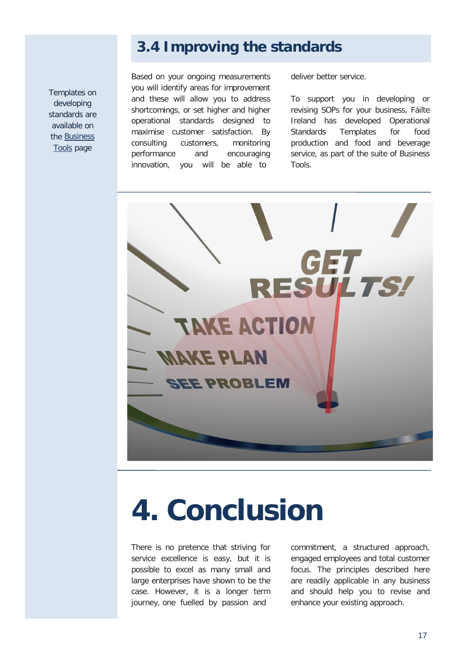Templates on developing standards are available on the [Business](http://www.failteireland.ie/Develop-Your-Business.aspx)  [Tools](http://www.failteireland.ie/Develop-Your-Business.aspx) page

#### **3.4 Improving the standards**

Based on your ongoing measurements you will identify areas for improvement and these will allow you to address shortcomings, or set higher and higher operational standards designed to maximise customer satisfaction. By consulting customers, monitoring performance and encouraging innovation, you will be able to

deliver better service.

To support you in developing or revising SOPs for your business, Fáilte Ireland has developed Operational Standards Templates for food production and food and beverage service, as part of the suite of Business Tools.



# **4. Conclusion**

There is no pretence that striving for service excellence is easy, but it is possible to excel as many small and large enterprises have shown to be the case. However, it is a longer term journey, one fuelled by passion and

commitment, a structured approach, engaged employees and total customer focus. The principles described here are readily applicable in any business and should help you to revise and enhance your existing approach.